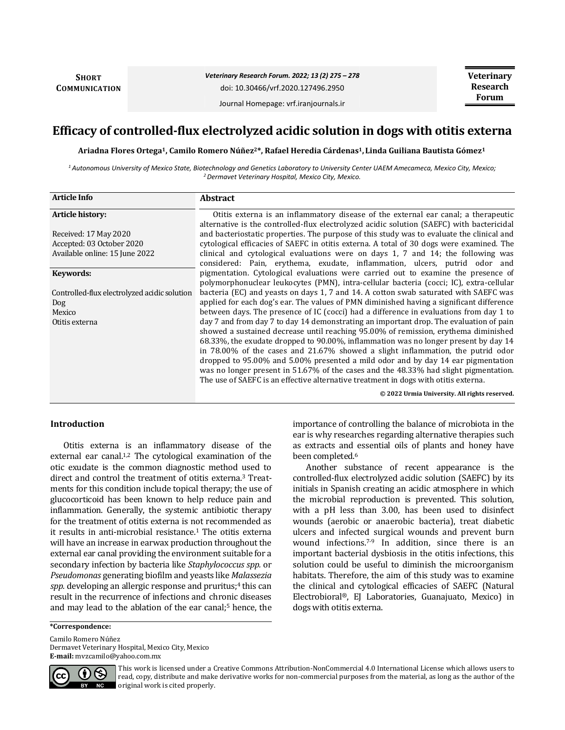**SHORT COMMUNICATION** *Veterinary Research Forum. 2022; 13 (2) 275 – 278*

doi: 10.30466/vrf.2020.127496.2950

Journal Homepage: vrf.iranjournals.ir

# **Efficacy of controlled-flux electrolyzed acidic solution in dogs with otitis externa**

**Ariadna Flores Ortega1, Camilo Romero Núñez2\*, Rafael Heredia Cárdenas1, Linda Guiliana Bautista Gómez<sup>1</sup>**

*<sup>1</sup>Autonomous University of Mexico State, Biotechnology and Genetics Laboratory to University Center UAEM Amecameca, Mexico City, Mexico; <sup>2</sup>Dermavet Veterinary Hospital, Mexico City, Mexico.*

| <b>Article Info</b>                          | <b>Abstract</b>                                                                                                                                                                 |
|----------------------------------------------|---------------------------------------------------------------------------------------------------------------------------------------------------------------------------------|
| <b>Article history:</b>                      | Otitis externa is an inflammatory disease of the external ear canal; a therapeutic<br>alternative is the controlled-flux electrolyzed acidic solution (SAEFC) with bactericidal |
| Received: 17 May 2020                        | and bacteriostatic properties. The purpose of this study was to evaluate the clinical and                                                                                       |
| Accepted: 03 October 2020                    | cytological efficacies of SAEFC in otitis externa. A total of 30 dogs were examined. The                                                                                        |
| Available online: 15 June 2022               | clinical and cytological evaluations were on days 1, 7 and 14; the following was<br>considered: Pain, erythema, exudate, inflammation, ulcers, putrid odor and                  |
| Keywords:                                    | pigmentation. Cytological evaluations were carried out to examine the presence of<br>polymorphonuclear leukocytes (PMN), intra-cellular bacteria (cocci; IC), extra-cellular    |
| Controlled-flux electrolyzed acidic solution | bacteria (EC) and yeasts on days 1, 7 and 14. A cotton swab saturated with SAEFC was                                                                                            |
| Dog                                          | applied for each dog's ear. The values of PMN diminished having a significant difference                                                                                        |
| Mexico                                       | between days. The presence of IC (cocci) had a difference in evaluations from day 1 to                                                                                          |
| Otitis externa                               | day 7 and from day 7 to day 14 demonstrating an important drop. The evaluation of pain                                                                                          |
|                                              | showed a sustained decrease until reaching 95.00% of remission, erythema diminished                                                                                             |
|                                              | 68.33%, the exudate dropped to 90.00%, inflammation was no longer present by day 14                                                                                             |
|                                              | in 78.00% of the cases and 21.67% showed a slight inflammation, the putrid odor                                                                                                 |
|                                              | dropped to 95.00% and 5.00% presented a mild odor and by day 14 ear pigmentation                                                                                                |
|                                              | was no longer present in 51.67% of the cases and the 48.33% had slight pigmentation.<br>The use of SAEFC is an effective alternative treatment in dogs with otitis externa.     |
|                                              | © 2022 Urmia University. All rights reserved.                                                                                                                                   |

## **Introduction**

Otitis externa is an inflammatory disease of the external ear canal.<sup>1,2</sup> The cytological examination of the otic exudate is the common diagnostic method used to direct and control the treatment of otitis externa.<sup>3</sup> Treatments for this condition include topical therapy; the use of glucocorticoid has been known to help reduce pain and inflammation. Generally, the systemic antibiotic therapy for the treatment of otitis externa is not recommended as it results in anti-microbial resistance.<sup>1</sup> The otitis externa will have an increase in earwax production throughout the external ear canal providing the environment suitable for a secondary infection by bacteria like *Staphylococcus spp.* or *Pseudomonas* generating biofilm and yeasts like *Malassezia spp.* developing an allergic response and pruritus;<sup>4</sup> this can result in the recurrence of infections and chronic diseases and may lead to the ablation of the ear canal;<sup>5</sup> hence, the importance of controlling the balance of microbiota in the ear is why researches regarding alternative therapies such as extracts and essential oils of plants and honey have been completed.<sup>6</sup>

Another substance of recent appearance is the controlled-flux electrolyzed acidic solution (SAEFC) by its initials in Spanish creating an acidic atmosphere in which the microbial reproduction is prevented. This solution, with a pH less than 3.00, has been used to disinfect wounds (aerobic or anaerobic bacteria), treat diabetic ulcers and infected surgical wounds and prevent burn wound infections.7-9 In addition, since there is an important bacterial dysbiosis in the otitis infections, this solution could be useful to diminish the microorganism habitats. Therefore, the aim of this study was to examine the clinical and cytological efficacies of SAEFC (Natural Electrobioral®, EJ Laboratories, Guanajuato, Mexico) in dogs with otitis externa.

#### **\*Correspondence:**

Camilo Romero Núñez Dermavet Veterinary Hospital, Mexico City, Mexico **E-mail:** mvzcamilo@yahoo.com.mx



This work is licensed under a [Creative Commons Attribution-NonCommercial 4.0 International License](http://creativecommons.org/licenses/by-nc/4.0/) which allows users to read, copy, distribute and make derivative works for non-commercial purposes from the material, as long as the author of the original work is cited properly.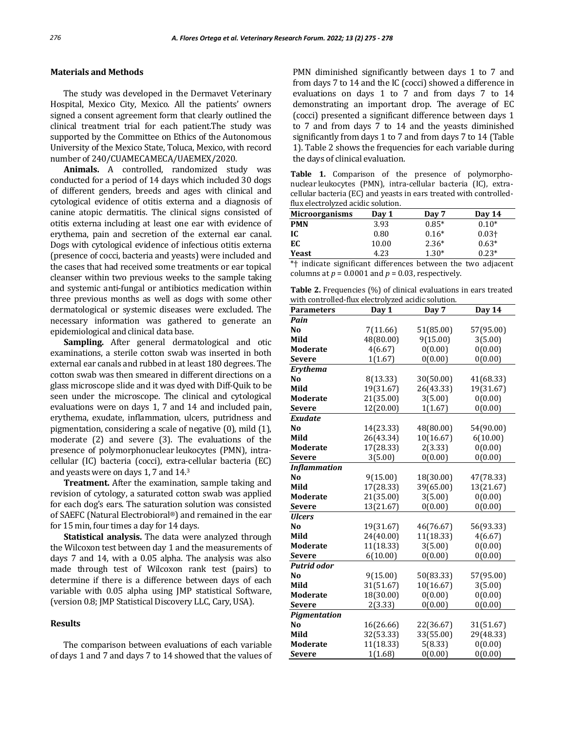## **Materials and Methods**

The study was developed in the Dermavet Veterinary Hospital, Mexico City, Mexico. All the patients' owners signed a consent agreement form that clearly outlined the clinical treatment trial for each patient.The study was supported by the Committee on Ethics of the Autonomous University of the Mexico State, Toluca, Mexico, with record number of 240/CUAMECAMECA/UAEMEX/2020.

**Animals.** A controlled, randomized study was conducted for a period of 14 days which included 30 dogs of different genders, breeds and ages with clinical and cytological evidence of otitis externa and a diagnosis of canine atopic dermatitis. The clinical signs consisted of otitis externa including at least one ear with evidence of erythema, pain and secretion of the external ear canal. Dogs with cytological evidence of infectious otitis externa (presence of cocci, bacteria and yeasts) were included and the cases that had received some treatments or ear topical cleanser within two previous weeks to the sample taking and systemic anti-fungal or antibiotics medication within three previous months as well as dogs with some other dermatological or systemic diseases were excluded. The necessary information was gathered to generate an epidemiological and clinical data base.

**Sampling.** After general dermatological and otic examinations, a sterile cotton swab was inserted in both external ear canals and rubbed in at least 180 degrees. The cotton swab was then smeared in different directions on a glass microscope slide and it was dyed with Diff-Quik to be seen under the microscope. The clinical and cytological evaluations were on days 1, 7 and 14 and included pain, erythema, exudate, inflammation, ulcers, putridness and pigmentation, considering a scale of negative (0), mild (1), moderate (2) and severe (3). The evaluations of the presence of polymorphonuclear leukocytes (PMN), intracellular (IC) bacteria (cocci), extra-cellular bacteria (EC) and yeasts were on days 1, 7 and 14.<sup>3</sup>

**Treatment.** After the examination, sample taking and revision of cytology, a saturated cotton swab was applied for each dog's ears. The saturation solution was consisted of SAEFC (Natural Electrobioral®) and remained in the ear for 15 min, four times a day for 14 days.

**Statistical analysis.** The data were analyzed through the Wilcoxon test between day 1 and the measurements of days 7 and 14, with a 0.05 alpha. The analysis was also made through test of Wilcoxon rank test (pairs) to determine if there is a difference between days of each variable with 0.05 alpha using JMP statistical Software, (version 0.8; JMP Statistical Discovery LLC, Cary, USA).

## **Results**

The comparison between evaluations of each variable of days 1 and 7 and days 7 to 14 showed that the values of PMN diminished significantly between days 1 to 7 and from days 7 to 14 and the IC (cocci) showed a difference in evaluations on days 1 to 7 and from days 7 to 14 demonstrating an important drop. The average of EC (cocci) presented a significant difference between days 1 to 7 and from days 7 to 14 and the yeasts diminished significantly from days 1 to 7 and from days 7 to 14 (Table 1). Table 2 shows the frequencies for each variable during the days of clinical evaluation.

**Table 1.** Comparison of the presence of polymorphonuclear leukocytes (PMN), intra-cellular bacteria (IC), extracellular bacteria (EC) and yeasts in ears treated with controlledflux electrolyzed acidic solution.

| <b>Microorganisms</b>                                                                  | Day 1                | Day 7                                          | Day 14   |  |
|----------------------------------------------------------------------------------------|----------------------|------------------------------------------------|----------|--|
| <b>PMN</b>                                                                             | 3.93                 | $0.85*$                                        | $0.10*$  |  |
| IC                                                                                     | 0.80                 | $0.16*$                                        | $0.03 +$ |  |
| EC                                                                                     | 10.00                | $2.36*$                                        | $0.63*$  |  |
| <b>Yeast</b>                                                                           | 4.23                 | $1.30*$                                        | $0.23*$  |  |
| $\mathbf{a}$ , and $\mathbf{a}$ , and $\mathbf{a}$ , and $\mathbf{a}$<br>$\sim$ $\sim$ | $\sim$ $\sim$ $\sim$ | $\mathbf{r}$ . The set of $\mathbf{r}$<br>- 71 |          |  |

\*† indicate significant differences between the two adjacent columns at  $p = 0.0001$  and  $p = 0.03$ , respectively.

**Table 2.** Frequencies (%) of clinical evaluations in ears treated with controlled-flux electrolyzed acidic solution

| with controlled-hux electrolyzed acidic solution. |           |           |           |
|---------------------------------------------------|-----------|-----------|-----------|
| <b>Parameters</b>                                 | Day 1     | Day 7     | Day 14    |
| Pain                                              |           |           |           |
| No                                                | 7(11.66)  | 51(85.00) | 57(95.00) |
| Mild                                              | 48(80.00) | 9(15.00)  | 3(5.00)   |
| <b>Moderate</b>                                   | 4(6.67)   | 0(0.00)   | 0(0.00)   |
| <b>Severe</b>                                     | 1(1.67)   | 0(0.00)   | 0(0.00)   |
| Erythema                                          |           |           |           |
| N <sub>0</sub>                                    | 8(13.33)  | 30(50.00) | 41(68.33) |
| Mild                                              | 19(31.67) | 26(43.33) | 19(31.67) |
| Moderate                                          | 21(35.00) | 3(5.00)   | 0(0.00)   |
| Severe                                            | 12(20.00) | 1(1.67)   | 0(0.00)   |
| <b>Exudate</b>                                    |           |           |           |
| N <sub>0</sub>                                    | 14(23.33) | 48(80.00) | 54(90.00) |
| Mild                                              | 26(43.34) | 10(16.67) | 6(10.00)  |
| Moderate                                          | 17(28.33) | 2(3.33)   | 0(0.00)   |
| <b>Severe</b>                                     | 3(5.00)   | 0(0.00)   | 0(0.00)   |
| Inflammation                                      |           |           |           |
| N <sub>0</sub>                                    | 9(15.00)  | 18(30.00) | 47(78.33) |
| Mild                                              | 17(28.33) | 39(65.00) | 13(21.67) |
| <b>Moderate</b>                                   | 21(35.00) | 3(5.00)   | 0(0.00)   |
| <b>Severe</b>                                     | 13(21.67) | 0(0.00)   | 0(0.00)   |
| <b>Ulcers</b>                                     |           |           |           |
| No                                                | 19(31.67) | 46(76.67) | 56(93.33) |
| Mild                                              | 24(40.00) | 11(18.33) | 4(6.67)   |
| <b>Moderate</b>                                   | 11(18.33) | 3(5.00)   | 0(0.00)   |
| Severe                                            | 6(10.00)  | 0(0.00)   | 0(0.00)   |
| Putrid odor                                       |           |           |           |
| No                                                | 9(15.00)  | 50(83.33) | 57(95.00) |
| Mild                                              | 31(51.67) | 10(16.67) | 3(5.00)   |
| <b>Moderate</b>                                   | 18(30.00) | 0(0.00)   | 0(0.00)   |
| <b>Severe</b>                                     | 2(3.33)   | 0(0.00)   | 0(0.00)   |
| Pigmentation                                      |           |           |           |
| N <sub>0</sub>                                    | 16(26.66) | 22(36.67) | 31(51.67) |
| Mild                                              | 32(53.33) | 33(55.00) | 29(48.33) |
| <b>Moderate</b>                                   | 11(18.33) | 5(8.33)   | 0(0.00)   |
| <b>Severe</b>                                     | 1(1.68)   | 0(0.00)   | 0(0.00)   |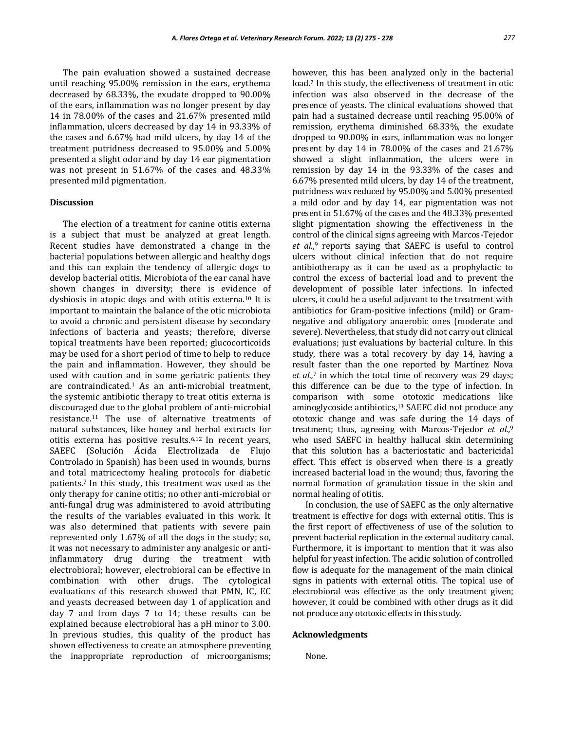The pain evaluation showed a sustained decrease until reaching 95.00% remission in the ears, erythema decreased by 68.33%, the exudate dropped to 90.00% of the ears, inflammation was no longer present by day 14 in 78.00% of the cases and 21.67% presented mild inflammation, ulcers decreased by day 14 in 93.33% of the cases and 6.67% had mild ulcers, by day 14 of the treatment putridness decreased to 95.00% and 5.00% presented a slight odor and by day 14 ear pigmentation

was not present in 51.67% of the cases and 48.33%

## **Discussion**

presented mild pigmentation.

The election of a treatment for canine otitis externa is a subject that must be analyzed at great length. Recent studies have demonstrated a change in the bacterial populations between allergic and healthy dogs and this can explain the tendency of allergic dogs to develop bacterial otitis. Microbiota of the ear canal have shown changes in diversity; there is evidence of dysbiosis in atopic dogs and with otitis externa.<sup>10</sup> It is important to maintain the balance of the otic microbiota to avoid a chronic and persistent disease by secondary infections of bacteria and yeasts; therefore, diverse topical treatments have been reported; glucocorticoids may be used for a short period of time to help to reduce the pain and inflammation. However, they should be used with caution and in some geriatric patients they are contraindicated.<sup>1</sup> As an anti-microbial treatment, the systemic antibiotic therapy to treat otitis externa is discouraged due to the global problem of anti-microbial resistance.<sup>11</sup> The use of alternative treatments of natural substances, like honey and herbal extracts for otitis externa has positive results.6,12 In recent years, SAEFC (Solución Ácida Electrolizada de Flujo Controlado in Spanish) has been used in wounds, burns and total matricectomy healing protocols for diabetic patients.7 In this study, this treatment was used as the only therapy for canine otitis; no other anti-microbial or anti-fungal drug was administered to avoid attributing the results of the variables evaluated in this work. It was also determined that patients with severe pain represented only 1.67% of all the dogs in the study; so, it was not necessary to administer any analgesic or antiinflammatory drug during the treatment with electrobioral; however, electrobioral can be effective in combination with other drugs. The cytological evaluations of this research showed that PMN, IC, EC and yeasts decreased between day 1 of application and day 7 and from days 7 to 14; these results can be explained because electrobioral has a pH minor to 3.00. In previous studies, this quality of the product has shown effectiveness to create an atmosphere preventing the inappropriate reproduction of microorganisms;

however, this has been analyzed only in the bacterial load.<sup>7</sup> In this study, the effectiveness of treatment in otic infection was also observed in the decrease of the presence of yeasts. The clinical evaluations showed that pain had a sustained decrease until reaching 95.00% of remission, erythema diminished 68.33%, the exudate dropped to 90.00% in ears, inflammation was no longer present by day 14 in 78.00% of the cases and 21.67% showed a slight inflammation, the ulcers were in remission by day 14 in the 93.33% of the cases and 6.67% presented mild ulcers, by day 14 of the treatment, putridness was reduced by 95.00% and 5.00% presented a mild odor and by day 14, ear pigmentation was not present in 51.67% of the cases and the 48.33% presented slight pigmentation showing the effectiveness in the control of the clinical signs agreeing with Marcos-Tejedor et al.<sup>9</sup> reports saying that SAEFC is useful to control ulcers without clinical infection that do not require antibiotherapy as it can be used as a prophylactic to control the excess of bacterial load and to prevent the development of possible later infections. In infected ulcers, it could be a useful adjuvant to the treatment with antibiotics for Gram-positive infections (mild) or Gramnegative and obligatory anaerobic ones (moderate and severe). Nevertheless, that study did not carry out clinical evaluations; just evaluations by bacterial culture. In this study, there was a total recovery by day 14, having a result faster than the one reported by Martínez Nova *et al.,*<sup>7</sup> in which the total time of recovery was 29 days; this difference can be due to the type of infection. In comparison with some ototoxic medications like aminoglycoside antibiotics,<sup>13</sup> SAEFC did not produce any ototoxic change and was safe during the 14 days of treatment; thus, agreeing with Marcos-Tejedor *et al.,*<sup>9</sup> who used SAEFC in healthy hallucal skin determining that this solution has a bacteriostatic and bactericidal effect. This effect is observed when there is a greatly increased bacterial load in the wound; thus, favoring the normal formation of granulation tissue in the skin and normal healing of otitis.

In conclusion, the use of SAEFC as the only alternative treatment is effective for dogs with external otitis. This is the first report of effectiveness of use of the solution to prevent bacterial replication in the external auditory canal. Furthermore, it is important to mention that it was also helpful for yeast infection. The acidic solution of controlled flow is adequate for the management of the main clinical signs in patients with external otitis. The topical use of electrobioral was effective as the only treatment given; however, it could be combined with other drugs as it did not produce any ototoxic effects in this study.

## **Acknowledgments**

None.